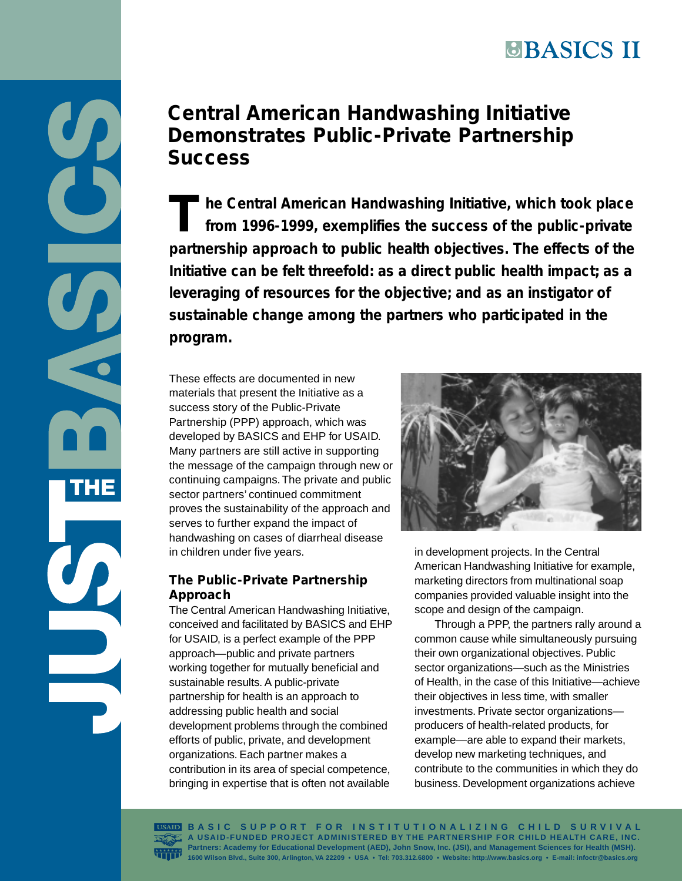T he Central American Handwashing Initiative, which took place<br>
from 1996-1999, exemplifies the success of the public-private **from 1996-1999, exemplifies the success of the public-private partnership approach to public health objectives. The effects of the Initiative can be felt threefold: as a direct public health impact; as a leveraging of resources for the objective; and as an instigator of sustainable change among the partners who participated in the program.**

These effects are documented in new materials that present the Initiative as a success story of the Public-Private Partnership (PPP) approach, which was developed by BASICS and EHP for USAID. Many partners are still active in supporting the message of the campaign through new or continuing campaigns. The private and public sector partners' continued commitment proves the sustainability of the approach and serves to further expand the impact of handwashing on cases of diarrheal disease in children under five years.

U

THE

## **The Public-Private Partnership Approach**

The Central American Handwashing Initiative, conceived and facilitated by BASICS and EHP for USAID, is a perfect example of the PPP approach—public and private partners working together for mutually beneficial and sustainable results. A public-private partnership for health is an approach to addressing public health and social development problems through the combined efforts of public, private, and development organizations. Each partner makes a contribution in its area of special competence, bringing in expertise that is often not available



in development projects. In the Central American Handwashing Initiative for example, marketing directors from multinational soap companies provided valuable insight into the scope and design of the campaign.

Through a PPP, the partners rally around a common cause while simultaneously pursuing their own organizational objectives. Public sector organizations—such as the Ministries of Health, in the case of this Initiative—achieve their objectives in less time, with smaller investments. Private sector organizations producers of health-related products, for example—are able to expand their markets, develop new marketing techniques, and contribute to the communities in which they do business. Development organizations achieve

**BASIC SUPPORT FOR INSTITUTIONALIZING CHILD SURVIVAL A USAID-FUNDED PROJECT ADMINISTERED BY THE PARTNERSHIP FOR CHILD HEALTH CARE, INC. Partners: Academy for Educational Development (AED), John Snow, Inc. (JSI), and Management Sciences for Health (MSH). 1600 Wilson Blvd., Suite 300, Arlington, VA 22209 • USA • Tel: 703.312.6800 • Website: <http://www.basics.org> • E-mail: infoctr@basics.org**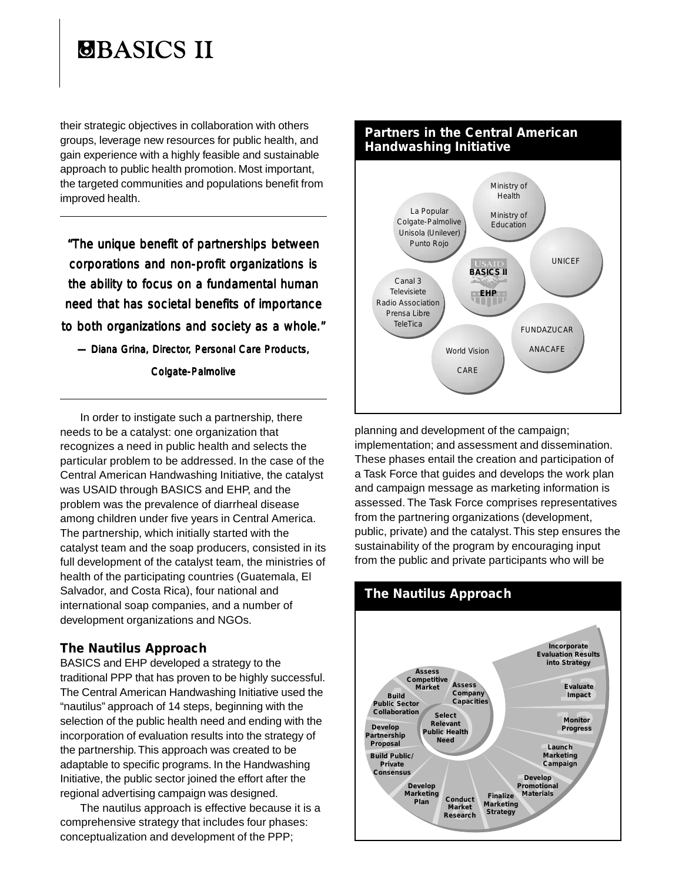their strategic objectives in collaboration with others groups, leverage new resources for public health, and gain experience with a highly feasible and sustainable approach to public health promotion. Most important, the targeted communities and populations benefit from improved health.

*"The unique benefit of partnerships between corporations and non-profit organizations is the ability to focus on a fundamental human need that has societal benefits of importance to both organizations and society as a whole."*

*— Diana Grina, Director, Personal Care Products, , Products,*

*Colgate-Palmolive*

In order to instigate such a partnership, there needs to be a catalyst: one organization that recognizes a need in public health and selects the particular problem to be addressed. In the case of the Central American Handwashing Initiative, the catalyst was USAID through BASICS and EHP, and the problem was the prevalence of diarrheal disease among children under five years in Central America. The partnership, which initially started with the catalyst team and the soap producers, consisted in its full development of the catalyst team, the ministries of health of the participating countries (Guatemala, El Salvador, and Costa Rica), four national and international soap companies, and a number of development organizations and NGOs.

### **The Nautilus Approach**

BASICS and EHP developed a strategy to the traditional PPP that has proven to be highly successful. The Central American Handwashing Initiative used the "nautilus" approach of 14 steps, beginning with the selection of the public health need and ending with the incorporation of evaluation results into the strategy of the partnership. This approach was created to be adaptable to specific programs. In the Handwashing Initiative, the public sector joined the effort after the regional advertising campaign was designed.

The nautilus approach is effective because it is a comprehensive strategy that includes four phases: conceptualization and development of the PPP;



planning and development of the campaign; implementation; and assessment and dissemination. These phases entail the creation and participation of a Task Force that guides and develops the work plan and campaign message as marketing information is assessed. The Task Force comprises representatives from the partnering organizations (development, public, private) and the catalyst. This step ensures the sustainability of the program by encouraging input from the public and private participants who will be



## **The Nautilus Approach**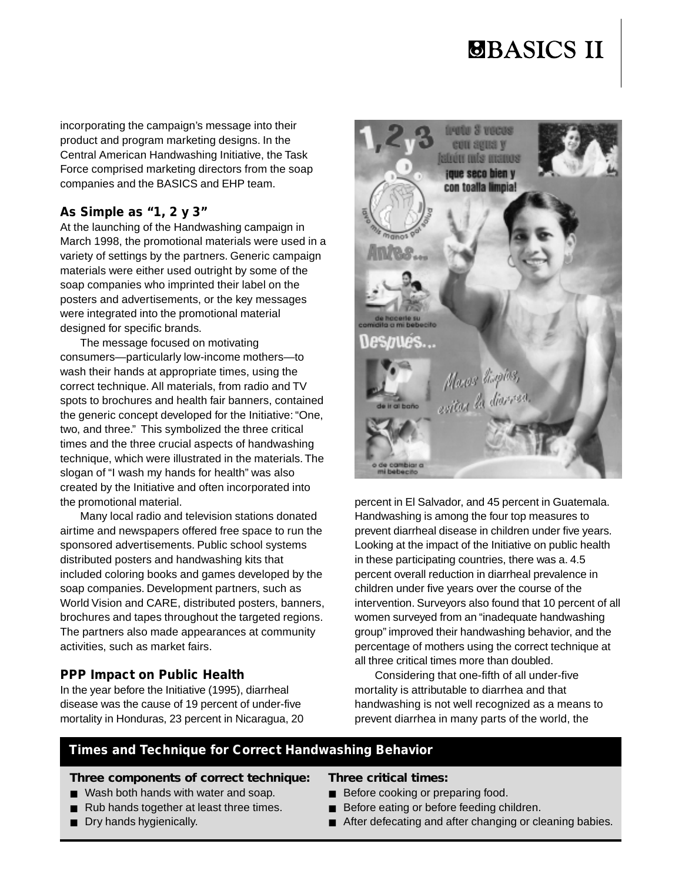incorporating the campaign's message into their product and program marketing designs. In the Central American Handwashing Initiative, the Task Force comprised marketing directors from the soap companies and the BASICS and EHP team.

### **As Simple as "1, 2 y 3"**

At the launching of the Handwashing campaign in March 1998, the promotional materials were used in a variety of settings by the partners. Generic campaign materials were either used outright by some of the soap companies who imprinted their label on the posters and advertisements, or the key messages were integrated into the promotional material designed for specific brands.

The message focused on motivating consumers—particularly low-income mothers—to wash their hands at appropriate times, using the correct technique. All materials, from radio and TV spots to brochures and health fair banners, contained the generic concept developed for the Initiative: "One, two, and three." This symbolized the three critical times and the three crucial aspects of handwashing technique, which were illustrated in the materials. The slogan of "I wash my hands for health" was also created by the Initiative and often incorporated into the promotional material.

Many local radio and television stations donated airtime and newspapers offered free space to run the sponsored advertisements. Public school systems distributed posters and handwashing kits that included coloring books and games developed by the soap companies. Development partners, such as World Vision and CARE, distributed posters, banners, brochures and tapes throughout the targeted regions. The partners also made appearances at community activities, such as market fairs.

## **PPP Impact on Public Health**

In the year before the Initiative (1995), diarrheal disease was the cause of 19 percent of under-five mortality in Honduras, 23 percent in Nicaragua, 20



percent in El Salvador, and 45 percent in Guatemala. Handwashing is among the four top measures to prevent diarrheal disease in children under five years. Looking at the impact of the Initiative on public health in these participating countries, there was a. 4.5 percent overall reduction in diarrheal prevalence in children under five years over the course of the intervention. Surveyors also found that 10 percent of all women surveyed from an "inadequate handwashing group" improved their handwashing behavior, and the percentage of mothers using the correct technique at all three critical times more than doubled.

Considering that one-fifth of all under-five mortality is attributable to diarrhea and that handwashing is not well recognized as a means to prevent diarrhea in many parts of the world, the

## **Times and Technique for Correct Handwashing Behavior**

#### *Three components of correct technique:*

- Wash both hands with water and soap.
- Rub hands together at least three times.
- Dry hands hygienically.

#### *Three critical times:*

- Before cooking or preparing food.
- Before eating or before feeding children.
- After defecating and after changing or cleaning babies.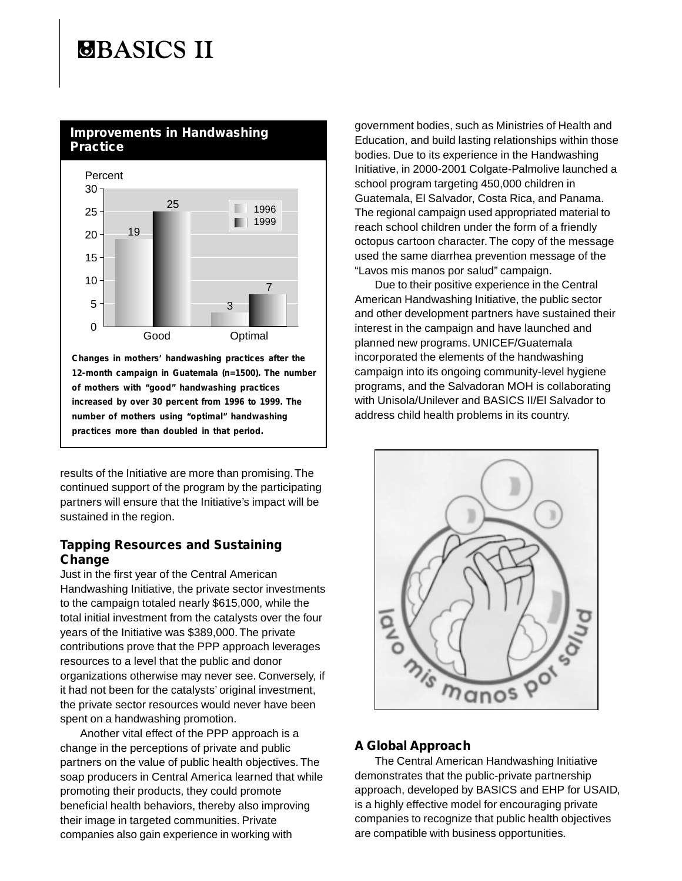# **SBASICS II**

## **Improvements in Handwashing Practice**



**Changes in mothers' handwashing practices after the 12-month campaign in Guatemala (n=1500). The number of mothers with "good" handwashing practices increased by over 30 percent from 1996 to 1999. The number of mothers using "optimal" handwashing practices more than doubled in that period.**

results of the Initiative are more than promising. The continued support of the program by the participating partners will ensure that the Initiative's impact will be sustained in the region.

### **Tapping Resources and Sustaining Change**

Just in the first year of the Central American Handwashing Initiative, the private sector investments to the campaign totaled nearly \$615,000, while the total initial investment from the catalysts over the four years of the Initiative was \$389,000. The private contributions prove that the PPP approach leverages resources to a level that the public and donor organizations otherwise may never see. Conversely, if it had not been for the catalysts' original investment, the private sector resources would never have been spent on a handwashing promotion.

Another vital effect of the PPP approach is a change in the perceptions of private and public partners on the value of public health objectives. The soap producers in Central America learned that while promoting their products, they could promote beneficial health behaviors, thereby also improving their image in targeted communities. Private companies also gain experience in working with

government bodies, such as Ministries of Health and Education, and build lasting relationships within those bodies. Due to its experience in the Handwashing Initiative, in 2000-2001 Colgate-Palmolive launched a school program targeting 450,000 children in Guatemala, El Salvador, Costa Rica, and Panama. The regional campaign used appropriated material to reach school children under the form of a friendly octopus cartoon character. The copy of the message used the same diarrhea prevention message of the "Lavos mis manos por salud" campaign.

Due to their positive experience in the Central American Handwashing Initiative, the public sector and other development partners have sustained their interest in the campaign and have launched and planned new programs. UNICEF/Guatemala incorporated the elements of the handwashing campaign into its ongoing community-level hygiene programs, and the Salvadoran MOH is collaborating with Unisola/Unilever and BASICS II/El Salvador to address child health problems in its country.



## **A Global Approach**

The Central American Handwashing Initiative demonstrates that the public-private partnership approach, developed by BASICS and EHP for USAID, is a highly effective model for encouraging private companies to recognize that public health objectives are compatible with business opportunities.